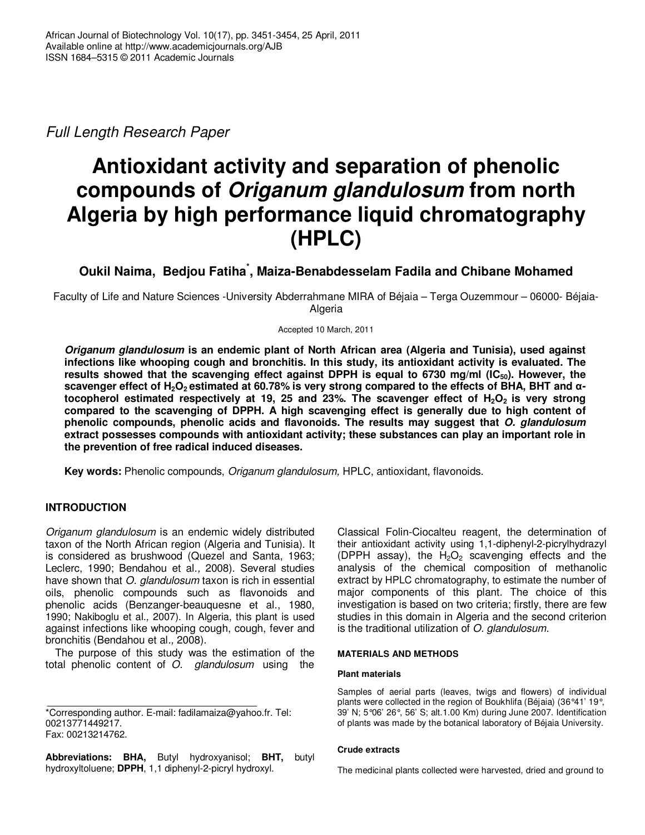*Full Length Research Paper*

# **Antioxidant activity and separation of phenolic compounds of** *Origanum glandulosum* **from north Algeria by high performance liquid chromatography (HPLC)**

# **Oukil Naima, Bedjou Fatiha \* , Maiza-Benabdesselam Fadila and Chibane Mohamed**

Faculty of Life and Nature Sciences -University Abderrahmane MIRA of Béjaia – Terga Ouzemmour – 06000- Béjaia-Algeria

Accepted 10 March, 2011

*Origanum glandulosum* **is an endemic plant of North African area (Algeria and Tunisia), used against infections like whooping cough and bronchitis. In this study, its antioxidant activity is evaluated. The results showed that the scavenging effect against DPPH is equal to 6730 mg/ml (IC50). However, the** scavenger effect of H<sub>2</sub>O<sub>2</sub> estimated at 60.78% is very strong compared to the effects of BHA, BHT and  $\alpha$ tocopherol estimated respectively at 19, 25 and 23%. The scavenger effect of  $H_2O_2$  is very strong **compared to the scavenging of DPPH. A high scavenging effect is generally due to high content of phenolic compounds, phenolic acids and flavonoids. The results may suggest that** *O. glandulosum* **extract possesses compounds with antioxidant activity; these substances can play an important role in the prevention of free radical induced diseases.**

**Key words:** Phenolic compounds, *Origanum glandulosum,* HPLC, antioxidant, flavonoids.

# **INTRODUCTION**

*Origanum glandulosum* is an endemic widely distributed taxon of the North African region (Algeria and Tunisia). It is considered as brushwood (Quezel and Santa, 1963; Leclerc, 1990; Bendahou et al.*,* 2008). Several studies have shown that *O. glandulosum* taxon is rich in essential oils, phenolic compounds such as flavonoids and phenolic acids (Benzanger-beauquesne et al., 1980, 1990; Nakiboglu et al*.,* 2007). In Algeria, this plant is used against infections like whooping cough, cough, fever and bronchitis (Bendahou et al*.,* 2008).

The purpose of this study was the estimation of the total phenolic content of *O. glandulosum* using the

**Abbreviations: BHA,** Butyl hydroxyanisol; **BHT,** butyl hydroxyltoluene; **DPPH**, 1,1 diphenyl-2-picryl hydroxyl.

Classical Folin-Ciocalteu reagent, the determination of their antioxidant activity using 1,1-diphenyl-2-picrylhydrazyl (DPPH assay), the  $H_2O_2$  scavenging effects and the analysis of the chemical composition of methanolic extract by HPLC chromatography, to estimate the number of major components of this plant. The choice of this investigation is based on two criteria; firstly, there are few studies in this domain in Algeria and the second criterion is the traditional utilization of *O. glandulosum.*

#### **MATERIALS AND METHODS**

#### **Plant materials**

Samples of aerial parts (leaves, twigs and flowers) of individual plants were collected in the region of Boukhlifa (Béjaia) (36°41' 19°, 39' N; 5°06' 26°, 56' S; alt.1.00 Km) during June 2007. Identification of plants was made by the botanical laboratory of Béjaia University.

#### **Crude extracts**

The medicinal plants collected were harvested, dried and ground to

<sup>\*</sup>Corresponding author. E-mail: fadilamaiza@yahoo.fr. Tel: 00213771449217. Fax: 00213214762.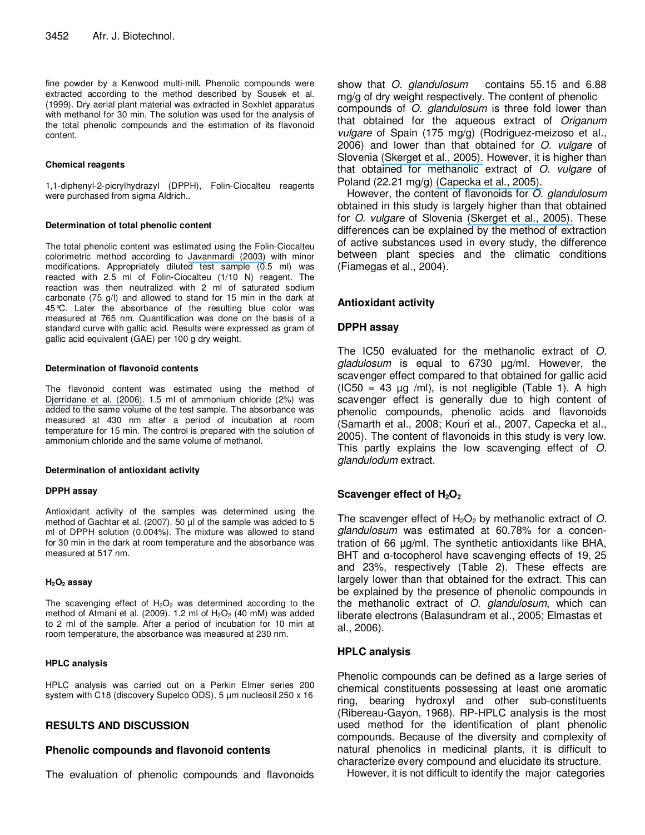fine powder by a Kenwood multi-mill**.** Phenolic compounds were extracted according to the method described by Sousek et al*.* (1999). Dry aerial plant material was extracted in Soxhlet apparatus with methanol for 30 min. The solution was used for the analysis of the total phenolic compounds and the estimation of its flavonoid content.

#### **Chemical reagents**

1,1-diphenyl-2-picrylhydrazyl (DPPH), Folin-Ciocalteu reagents were purchased from sigma Aldrich..

#### **Determination of total phenolic content**

The total phenolic content was estimated using the Folin-Ciocalteu colorimetric method according to [Javanmardi](https://www.researchgate.net/publication/222697304_Antioxidant_activity_and_total_phenolic_content_of_Iranian_ocimum_accessions._Food_Chem?el=1_x_8&enrichId=rgreq-6ae34c63-a46f-4716-9249-142b46a2dbec&enrichSource=Y292ZXJQYWdlOzIwMjI2MjkwOTtBUzoxMDQyMzU5MTYwNzA5MThAMTQwMTg2MzE4Nzc4Mg==) (2003) with minor modifications. Appropriately diluted test sample (0.5 ml) was reacted with 2.5 ml of Folin-Ciocalteu (1/10 N) reagent. The reaction was then neutralized with 2 ml of saturated sodium carbonate (75 g/l) and allowed to stand for 15 min in the dark at 45°C. Later the absorbance of the resulting blue color was measured at 765 nm. Quantification was done on the basis of a standard curve with gallic acid. Results were expressed as gram of gallic acid equivalent (GAE) per 100 g dry weight.

#### **Determination of flavonoid contents**

The flavonoid content was estimated using the method of [Djerridane](https://www.researchgate.net/publication/223679941_Antioxidant_activity_of_some_Algerian_medicinal_plants_extracts_containing_Phenolic_compounds?el=1_x_8&enrichId=rgreq-6ae34c63-a46f-4716-9249-142b46a2dbec&enrichSource=Y292ZXJQYWdlOzIwMjI2MjkwOTtBUzoxMDQyMzU5MTYwNzA5MThAMTQwMTg2MzE4Nzc4Mg==) et al. (2006). 1.5 ml of ammonium chloride (2%) was added to the same volume of the test sample. The absorbance was measured at 430 nm after a period of incubation at room temperature for 15 min. The control is prepared with the solution of ammonium chloride and the same volume of methanol.

#### **Determination of antioxidant activity**

#### **DPPH assay**

Antioxidant activity of the samples was determined using the method of Gachtar et al. (2007). 50 µl of the sample was added to 5 ml of DPPH solution (0.004%). The mixture was allowed to stand for 30 min in the dark at room temperature and the absorbance was measured at 517 nm.

#### **H2O<sup>2</sup> assay**

The scavenging effect of  $H_2O_2$  was determined according to the method of Atmani et al. (2009). 1.2 ml of  $H<sub>2</sub>O<sub>2</sub>$  (40 mM) was added to 2 ml of the sample. After a period of incubation for 10 min at room temperature, the absorbance was measured at 230 nm.

#### **HPLC analysis**

HPLC analysis was carried out on a Perkin Elmer series 200 system with C18 (discovery Supelco ODS), 5 µm nucleosil 250 x 16

# **RESULTS AND DISCUSSION**

# **Phenolic compounds and flavonoid contents**

The evaluation of phenolic compounds and flavonoids

show that *O. glandulosum* contains 55.15 and 6.88 mg/g of dry weight respectively. The content of phenolic compounds of *O. glandulosum* is three fold lower than that obtained for the aqueous extract of *Origanum vulgare* of Spain (175 mg/g) (Rodriguez-meizoso et al., 2006) and lower than that obtained for *O. vulgare* of Slovenia [\(Skerget](https://www.researchgate.net/publication/223623261_Phenols_proanthocyanidins_and_their_antioxidant_activities?el=1_x_8&enrichId=rgreq-6ae34c63-a46f-4716-9249-142b46a2dbec&enrichSource=Y292ZXJQYWdlOzIwMjI2MjkwOTtBUzoxMDQyMzU5MTYwNzA5MThAMTQwMTg2MzE4Nzc4Mg==) et al., 2005). However, it is higher than that obtained for methanolic extract of *O. vulgare* of Poland (22.21 mg/g) [\(Capecka](https://www.researchgate.net/publication/222267199_Antioxidant_activity_of_fresh_and_dry_herbs_of_some_Lamiaceae_species._Food_Chem?el=1_x_8&enrichId=rgreq-6ae34c63-a46f-4716-9249-142b46a2dbec&enrichSource=Y292ZXJQYWdlOzIwMjI2MjkwOTtBUzoxMDQyMzU5MTYwNzA5MThAMTQwMTg2MzE4Nzc4Mg==) et al., 2005).

However, the content of flavonoids for *O. glandulosum* obtained in this study is largely higher than that obtained for *O. vulgare* of Slovenia [\(Skerget](https://www.researchgate.net/publication/223623261_Phenols_proanthocyanidins_and_their_antioxidant_activities?el=1_x_8&enrichId=rgreq-6ae34c63-a46f-4716-9249-142b46a2dbec&enrichSource=Y292ZXJQYWdlOzIwMjI2MjkwOTtBUzoxMDQyMzU5MTYwNzA5MThAMTQwMTg2MzE4Nzc4Mg==) et al., 2005). These differences can be explained by the method of extraction of active substances used in every study, the difference between plant species and the climatic conditions (Fiamegas et al., 2004).

# **Antioxidant activity**

### **DPPH assay**

The IC50 evaluated for the methanolic extract of *O. gladulosum* is equal to 6730 µg/ml. However, the scavenger effect compared to that obtained for gallic acid  $(IC50 = 43 \mu g$  /ml), is not negligible (Table 1). A high scavenger effect is generally due to high content of phenolic compounds, phenolic acids and flavonoids (Samarth et al., 2008; Kouri et al., 2007, Capecka et al., 2005). The content of flavonoids in this study is very low. This partly explains the low scavenging effect of *O. glandulodum* extract.

# **Scavenger effect of H2O<sup>2</sup>**

The scavenger effect of  $H_2O_2$  by methanolic extract of  $O$ . *glandulosum* was estimated at 60.78% for a concentration of 66 µg/ml. The synthetic antioxidants like BHA, BHT and  $\alpha$ -tocopherol have scavenging effects of 19, 25 and 23%, respectively (Table 2). These effects are largely lower than that obtained for the extract. This can be explained by the presence of phenolic compounds in the methanolic extract of *O. glandulosum*, which can liberate electrons (Balasundram et al., 2005; Elmastas et al., 2006).

# **HPLC analysis**

Phenolic compounds can be defined as a large series of chemical constituents possessing at least one aromatic ring, bearing hydroxyl and other sub-constituents (Ribereau-Gayon, 1968). RP-HPLC analysis is the most used method for the identification of plant phenolic compounds. Because of the diversity and complexity of natural phenolics in medicinal plants, it is difficult to characterize every compound and elucidate its structure.

However, it is not difficult to identify the major categories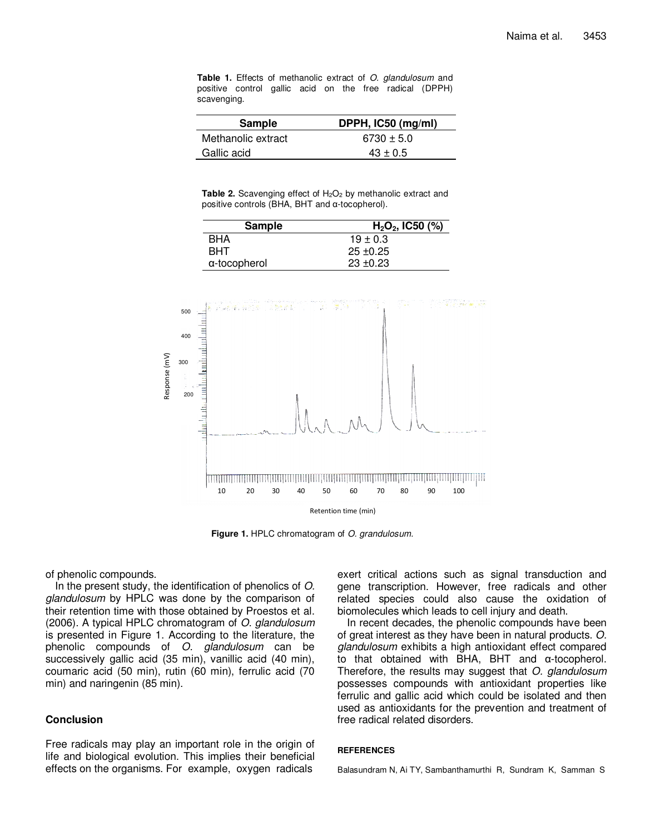**Table 1.** Effects of methanolic extract of *O. glandulosum* and positive control gallic acid on the free radical (DPPH) scavenging.

| Sample             | DPPH, IC50 (mg/ml) |
|--------------------|--------------------|
| Methanolic extract | $6730 \pm 5.0$     |
| Gallic acid        | $43 \pm 0.5$       |

**Table 2.** Scavenging effect of H<sub>2</sub>O<sub>2</sub> by methanolic extract and positive controls (BHA, BHT and  $\alpha$ -tocopherol).

| Sample       | $H2O2$ , IC50 (%) |
|--------------|-------------------|
| <b>BHA</b>   | $19 \pm 0.3$      |
| <b>BHT</b>   | $25 \pm 0.25$     |
| α-tocopherol | $23 \pm 0.23$     |



**Figure 1.** HPLC chromatogram of *O. grandulosum.*

of phenolic compounds.

In the present study, the identification of phenolics of *O. glandulosum* by HPLC was done by the comparison of their retention time with those obtained by Proestos et al. (2006). A typical HPLC chromatogram of *O. glandulosum* is presented in Figure 1. According to the literature, the phenolic compounds of *O. glandulosum* can be successively gallic acid (35 min), vanillic acid (40 min), coumaric acid (50 min), rutin (60 min), ferrulic acid (70 min) and naringenin (85 min).

# **Conclusion**

Free radicals may play an important role in the origin of life and biological evolution. This implies their beneficial effects on the organisms. For example, oxygen radicals

exert critical actions such as signal transduction and gene transcription. However, free radicals and other related species could also cause the oxidation of biomolecules which leads to cell injury and death.

In recent decades, the phenolic compounds have been of great interest as they have been in natural products. *O. glandulosum* exhibits a high antioxidant effect compared to that obtained with BHA, BHT and  $\alpha$ -tocopherol. Therefore, the results may suggest that *O. glandulosum* possesses compounds with antioxidant properties like ferrulic and gallic acid which could be isolated and then used as antioxidants for the prevention and treatment of free radical related disorders.

#### **REFERENCES**

Balasundram N, Ai TY, Sambanthamurthi R, Sundram K, Samman S